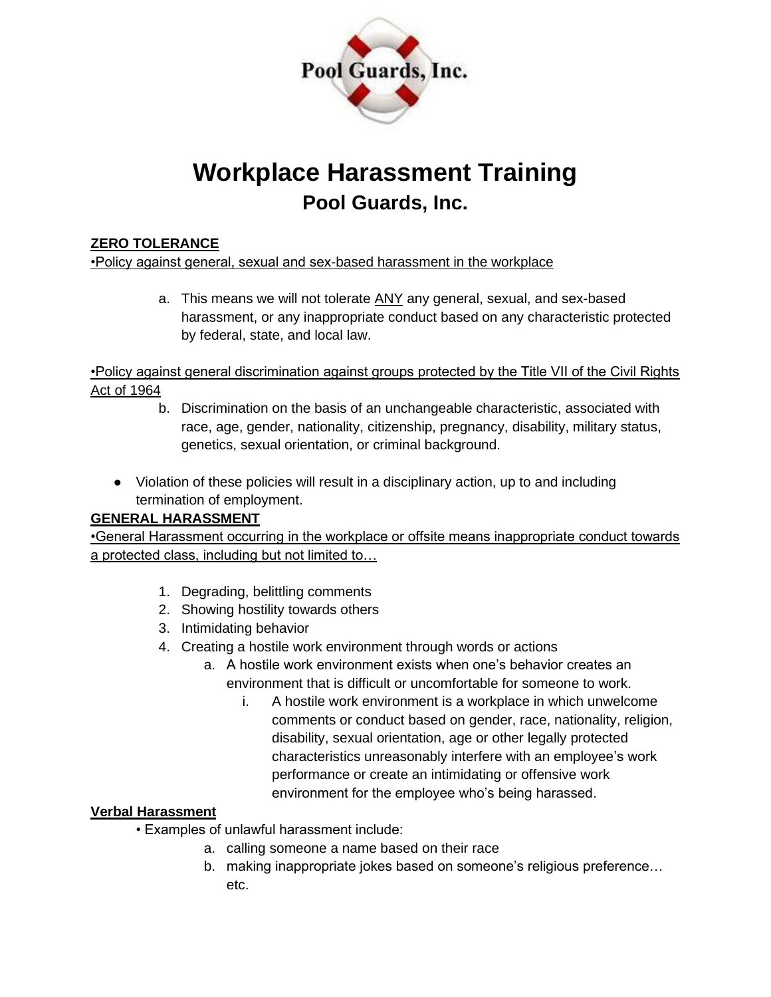

# **Workplace Harassment Training Pool Guards, Inc.**

# **ZERO TOLERANCE**

•Policy against general, sexual and sex-based harassment in the workplace

a. This means we will not tolerate ANY any general, sexual, and sex-based harassment, or any inappropriate conduct based on any characteristic protected by federal, state, and local law.

•Policy against general discrimination against groups protected by the Title VII of the Civil Rights Act of 1964

- b. Discrimination on the basis of an unchangeable characteristic, associated with race, age, gender, nationality, citizenship, pregnancy, disability, military status, genetics, sexual orientation, or criminal background.
- Violation of these policies will result in a disciplinary action, up to and including termination of employment.

# **GENERAL HARASSMENT**

•General Harassment occurring in the workplace or offsite means inappropriate conduct towards a protected class, including but not limited to…

- 1. Degrading, belittling comments
- 2. Showing hostility towards others
- 3. Intimidating behavior
- 4. Creating a hostile work environment through words or actions
	- a. A hostile work environment exists when one's behavior creates an environment that is difficult or uncomfortable for someone to work.
		- i. A hostile work environment is a workplace in which unwelcome comments or conduct based on gender, race, nationality, religion, disability, sexual orientation, age or other legally protected characteristics unreasonably interfere with an employee's work performance or create an intimidating or offensive work environment for the employee who's being harassed.

# **Verbal Harassment**

- Examples of unlawful harassment include:
	- a. calling someone a name based on their race
	- b. making inappropriate jokes based on someone's religious preference… etc.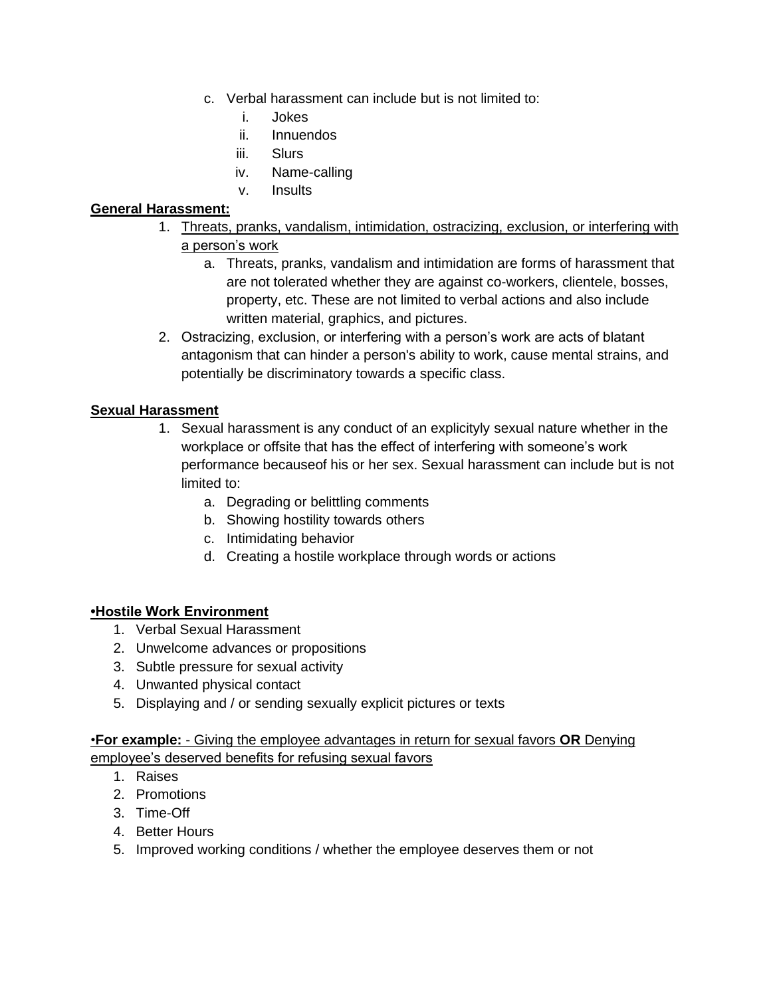- c. Verbal harassment can include but is not limited to:
	- i. Jokes
	- ii. Innuendos
	- iii. Slurs
	- iv. Name-calling
	- v. Insults

## **General Harassment:**

- 1. Threats, pranks, vandalism, intimidation, ostracizing, exclusion, or interfering with a person's work
	- a. Threats, pranks, vandalism and intimidation are forms of harassment that are not tolerated whether they are against co-workers, clientele, bosses, property, etc. These are not limited to verbal actions and also include written material, graphics, and pictures.
- 2. Ostracizing, exclusion, or interfering with a person's work are acts of blatant antagonism that can hinder a person's ability to work, cause mental strains, and potentially be discriminatory towards a specific class.

## **Sexual Harassment**

- 1. Sexual harassment is any conduct of an explicityly sexual nature whether in the workplace or offsite that has the effect of interfering with someone's work performance becauseof his or her sex. Sexual harassment can include but is not limited to:
	- a. Degrading or belittling comments
	- b. Showing hostility towards others
	- c. Intimidating behavior
	- d. Creating a hostile workplace through words or actions

#### **•Hostile Work Environment**

- 1. Verbal Sexual Harassment
- 2. Unwelcome advances or propositions
- 3. Subtle pressure for sexual activity
- 4. Unwanted physical contact
- 5. Displaying and / or sending sexually explicit pictures or texts

## •**For example:** - Giving the employee advantages in return for sexual favors **OR** Denying employee's deserved benefits for refusing sexual favors

- 1. Raises
- 2. Promotions
- 3. Time-Off
- 4. Better Hours
- 5. Improved working conditions / whether the employee deserves them or not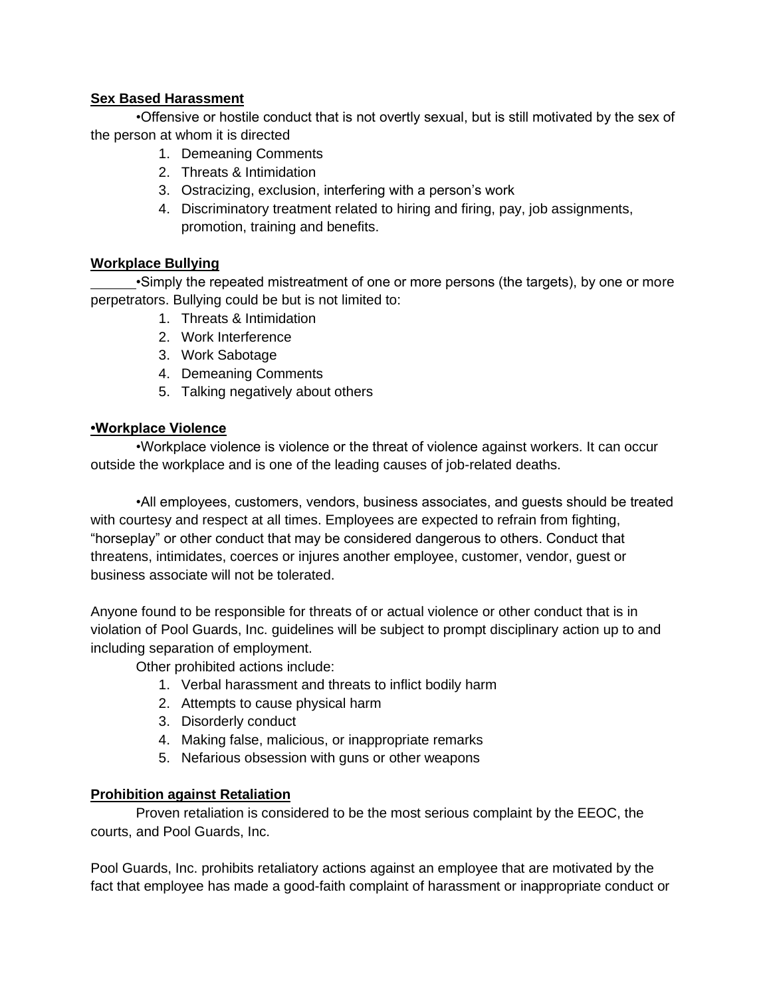## **Sex Based Harassment**

•Offensive or hostile conduct that is not overtly sexual, but is still motivated by the sex of the person at whom it is directed

- 1. Demeaning Comments
- 2. Threats & Intimidation
- 3. Ostracizing, exclusion, interfering with a person's work
- 4. Discriminatory treatment related to hiring and firing, pay, job assignments, promotion, training and benefits.

## **Workplace Bullying**

•Simply the repeated mistreatment of one or more persons (the targets), by one or more perpetrators. Bullying could be but is not limited to:

- 1. Threats & Intimidation
- 2. Work Interference
- 3. Work Sabotage
- 4. Demeaning Comments
- 5. Talking negatively about others

#### **•Workplace Violence**

•Workplace violence is violence or the threat of violence against workers. It can occur outside the workplace and is one of the leading causes of job-related deaths.

•All employees, customers, vendors, business associates, and guests should be treated with courtesy and respect at all times. Employees are expected to refrain from fighting, "horseplay" or other conduct that may be considered dangerous to others. Conduct that threatens, intimidates, coerces or injures another employee, customer, vendor, guest or business associate will not be tolerated.

Anyone found to be responsible for threats of or actual violence or other conduct that is in violation of Pool Guards, Inc. guidelines will be subject to prompt disciplinary action up to and including separation of employment.

Other prohibited actions include:

- 1. Verbal harassment and threats to inflict bodily harm
- 2. Attempts to cause physical harm
- 3. Disorderly conduct
- 4. Making false, malicious, or inappropriate remarks
- 5. Nefarious obsession with guns or other weapons

#### **Prohibition against Retaliation**

Proven retaliation is considered to be the most serious complaint by the EEOC, the courts, and Pool Guards, Inc.

Pool Guards, Inc. prohibits retaliatory actions against an employee that are motivated by the fact that employee has made a good-faith complaint of harassment or inappropriate conduct or